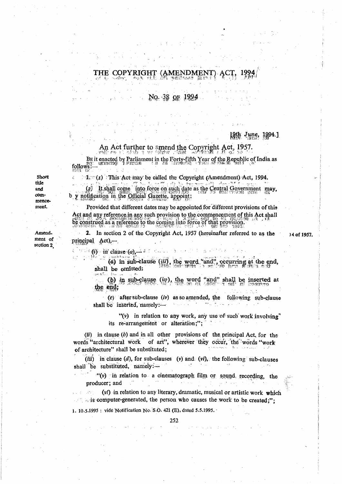#### THE COPYRIGHT (AMENDMENT)

# No. 38 or 1994

## **19th June, 1994.]**

#### An Act further to amend the Copyright Act, 1957. ಿದ್ದಾರೆ. ಇದರು. ಇಂಗ್ಲಾಂಡ್ ಮಾಡಿಯಾ

BE it enacted by Parliament in the Forty-fifth Year of the Republic of India as follows:

Short title and commence. ment.

Amend.

ment of

section 2

 $\mathbb{R}^n$  (*t*) This Act may be called the Copyright (Amendment) Act, 1994. ುಕೆ ಸಾ

(2) It shall come into force on such date as the Central Government may, b y notification in the Official Gazette, appoint:

Provided that different dates may be appointed for different provisions of this Act and any reference in any such provision to the commencement of this Act shall be construed as a reference to the coming into force of that provision.

2. In section 2 of the Copyright Act, 1957 (hereinafter referred to as the principal Act),-

14 of 1957.

(a) in sub-clause  $(iii)$ , the word "and", occurring at the end, shall be omitted:

(b) in sub-clause (iv), the word "and" shall be inserted at the end;

 $(c)$  after sub-clause  $(iv)$  as so amended, the following sub-clause shall be inserted, namely:-

 $'(v)$  in relation to any work, any use of such work involving its re-arrangement or alteration;";

 $(ii)$  in clause (b) and in all other provisions of the principal Act, for the words "architectural work of art", wherever they occur, the words "work of architecture" shall be substituted;

(*iii*) in clause (*d*), for sub-clauses (*v*) and (*vi*), the following sub-clauses shall be substituted, namely:-

 $'(v)$  in relation to a cinematograph film or sound, recording, the producer; and

(vi) in relation to any literary, dramatic, musical or artistic work which is computer-generated, the person who causes the work to be created:":

1. 10.5.1995 : vide Notification No. S.O. 421 (E), dated 5.5.1995.

 $\mathcal{F}(\theta)$  in clause  $(a)$ ,  $\mathcal{F}$ 

252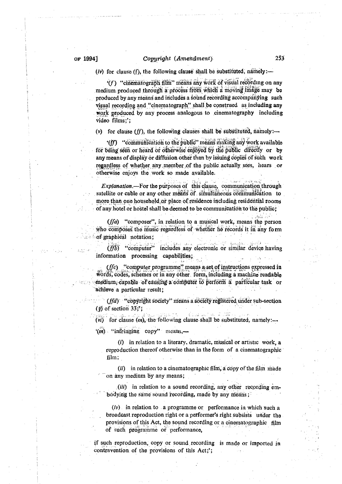(iv) for clause (f), the following clause shall be substituted, namely:—

(f) "cinematograph film" means any work of visual recording on any medium produced through a process from which a moving image may be produced by any means and includes a sound recording accompanying such visual recording and "cinematograph" shall be construed as including any work produced by any process analogous to cinematography including video films;';

(v) for clause  $(ff)$ , the following clauses shall be substituted, namely:-

(*If*) "communication to the public" means making any work available for being seen or heard or otherwise enloyed by the public directly or by any means of display or diffusion other than by issuing copies of such work regardless of whether any member of the public actually sees, hears or otherwise enjoys the work so made available.

*Explanation*.—For the purposes of this clause, communication through satellite or cable or any other means of simultaneous communication to more than one household or place of residence including residential rooms of any hotel or hostel shall be deemed to be communication to the public;

(ffa) "composer", in relation to a musical work, means the person who composes the music regardless of whether he records it in any form of graphical notation;

(ffb) "computer" includes any electronic or similar device having information processing capabilities;

(ffc) "computer programme" means a set of instructions expressed in words, codes, schemes or in any other form, including a machine readable medium capable of causing a computer to perform a particular task or achieve a particular result:

(ffd) "copyright society" means a society registered under sub-section  $(3)$  of section 33.7:

 $(vi)$  for clause  $(m)$ , the following clause shall be substituted, namely:

'(m) "infringing copy" means,-

(i) in relation to a literary, dramatic, musical or artistic work, a reproduction thereof otherwise than in the form of a cinematographic film;

 $(ii)$  in relation to a cinematographic film, a copy of the film made on any medium by any means;

(iii) in relation to a sound recording, any other recording embodying the same sound recording, made by any means;

 $(iv)$  in relation to a programme or performance in which such a broadcast reproduction right or a performer's right subsists under the provisions of this Act, the sound recording or a cinematographic film of such programme or performance,

if such reproduction, copy or sound recording is made or imported in contravention of the provisions of this Act;';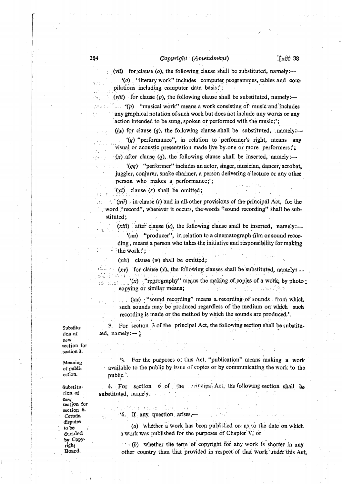### Copyright (Amendment)

I

 $\langle vii\rangle$  for clause (*o*), the following clause shall be substituted, namely:

... (o) "literary work" includes computer programmes, tables and computer pilations including computer data basis;" pilations including computer data basis;';

*(viii)* for clause  $(p)$ , the following clause shall be substituted, namely:—

 $\cdot$   $\cdot$  (p) "musical work" means a work consisting of music and includes any graphical notation of such work but does not include any words or any action intended to be sung, spoken or performed with the music;';

(ix) for clause. (q), the following clause shall be substituted, namely:—

 $(q)$  "performance", in relation to performer's right, means any visual or acoustic presentation made live by one or more performers;';

 $(x)$  after clause  $(q)$ , the following clause shall be inserted, namely:

'(qq) "performer" includes an actor, singer, musician, dancer, acrobat. juggler, conjurer, snake charmer, a person delivering a lecture or any other person who makes a performance;';

 $(x_i)$  clause  $(r)$  shall be omitted;

 $\therefore$   $(xii)$  in clause (t) and in all other provisions of the principal Act, for the . word "record", wherever it occurs, the words "sound recording" shall be substituted;

 $(xiii)$  after clause (u), the following clause shall be inserted, namely: *!* ~ •• ' ' ' • •  $(uu)$  "producer", in relation to a cinematograph film or sound recording, means a person who takes the initiative and responsibility for making the work;';

 $(xiv)$  clause  $(w)$  shall be omitted;

 $(xv)$  for clause (x), the following clauses shall be substituted, namely:  $\cdot$  :..:  $\cdot$  '(x)... "reprography" means the making of copies of a work, by photo :

copying or similar means;

 $(xx)$  "sound recording" means a recording of sounds from which such sounds may be produced regardless of the medium on which such recording is made or the method by which the sounds are produced.'.

Substitution 3. For section 3 of the principal Act, the following section shall be substitution of ted, namely: $-\frac{a}{u}$ 

fl.eW section for section 3.

Meaning '3. For the purposes of this Act, "publication" means making a work of publication.<br>
Meaning a work available to the public by issue of copies or by communicating the work to the available to the public by issue of copies or by communicating the work to the. cation. public.'.

Substitu 4. For section 6 of the sectional Act, the following section shall be tion of **aubstituted**, namely:

 $\alpha$  (a) whether a work has been put sisted or as to the date on which to be decided a work was published for the purposes of Chapter V, or

right  $(b)$  whether the term of copyright for any work is shorter in any :Board. other country than that provided in respect of that work ·underthis Aet,

√÷, 33/6/3  $\frac{1}{2}$  ,  $\frac{1}{2}$ 

<sup>~</sup>.;

new section for  $\begin{array}{c} \text{section 6.} \end{array}$ Certain '6. If any question arises,<br>disputes by Copy·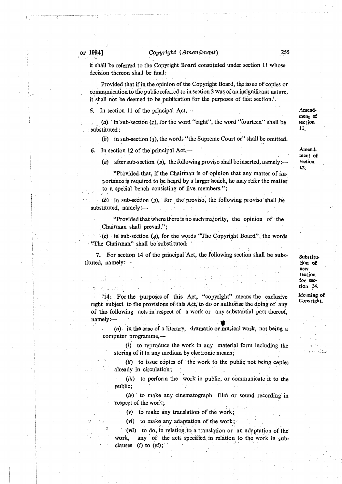Provided that if in the opinion of the Copyright Board, the issue of copies or communication to the public referred to in section 3 was of an insignificant nature, it shall not be deemed to be publication for the purposes of that section.'.

S. In section 11 of the principal Act,- . Amend-

(a) in sub-section (x), for the word "eight", the word "fourteen" shall be section stituted  $\cdot$  11 11, substituted;

(b) in sub-section (3), the words "the Supreme Court or" shall be omitted.

6. In section 12 of the principal  $Act$ ,  $-$  Amend-

(a) after sub-section (2), the following proviso shall be inserted, namely:

"Provided. that, if the Chairman is of opinion that any matter of importance is required to be heard by a larger bench, he may refer the matter to a special bench consisting of five members.";

(b) in sub-section (3), for the proviso, the following proviso shall be substituted, namely:-

"Provided that where there is no such majority, the opinion of the Chairman shall prevail.";

 $(c)$  in sub-section (4), for the words "The Copyright Board", the words "The Chairman" shall be substituted.

7. For section 14 of the principal Act, the following section shall be subs-<br>ed, namely:---<br>tion of tituted, namely: $-$ 

new section for section 14.

 $M_4$ . For the purposes of this Act, "copyright" means the exclusive Meaning of Copyright. right subject to the provisions of this Act, to do or authorise the doing of any of the following acts in respect of a work or any substantial part thereof, . namely:- · . . . . . , ' . · . . . . . . .

. (a). in the case of a literary, dramatic or musical work, not being a computer programme,

(i) to reproduce the work in any material form including the storing of it in any medium by electronic means;

(ii) to issue copies of the work to the public not being copies already in circulation;

(iii) to perform the work in public, or communicate it to the public;

 $(iv)$  to make any cinematograph film or sound recording in respect of the work;

 $(v)$  to make any translation of the work;

 $(vi)$  to make any adaptation of the work;

 $(vii)$  to do, in relation to a translation or an adaptation of the work, any of the acts specified in relation to the work in subclauses (i) to  $(vi)$ ;

ment of

ment of 12~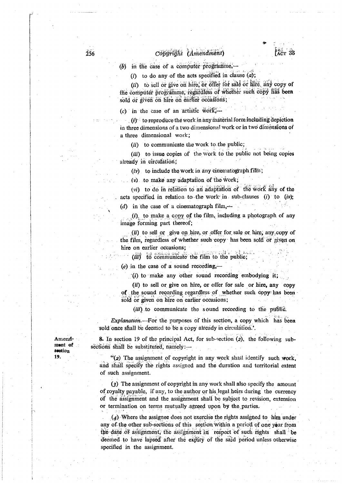(b) in the case of a computer programme.

 $(i)$  to do any of the acts specified in clause  $(a)$ ;

(ii) to sell or give on hire, or offer for said or hire, any copy of the computer programme, regardless of whether such copy has been sold or given on hire on earlier occasions;

fact 38

(c) in the case of an artistic work,-

 $(t)$  to reproduce the work in any material form including depiction in three dimensions of a two dimensional work or in two dimensions of a three dimensional work;

(ii) to communicate the work to the public;

(iii) to issue copies of the work to the public not being copies already in circulation;

(iv) to include the work in any cinematograph film;

(v) to make any adaptation of the work;

(vi) to do in relation to an adaptation of the work any of the acts specified in relation to the work in sub-clauses (i) to (iv);

(d) in the case of a cinematograph film, $\div$ 

(i) to make a copy of the film, including a photograph of any image forming part thereof;

(*ii*) to sell or give on hire, or offer for sale or hire, any copy of the film, regardless of whether such copy has been sold or given on hire on earlier occasions;

(iii) to communicate the film to the public;

(e) in the case of a sound recording,—

(i) to make any other sound recording embodying it;

(ii) to sell or give on hire, or offer for sale or hire, any copy of the sound recording regardless of whether such copy has been sold or given on hire on earlier occasions;

(iii) to communicate the sound recording to the public,

Explanation.-- For the purposes of this section, a copy which has been sold once shall be deemed to be a copy already in circulation.'.

8. In section 19 of the principal Act, for sub-section  $(z)$ , the following subsections shall be substituted, namely:-

"(2) The assignment of copyright in any work shall identify such work. and shall specify the rights assigned and the duration and territorial extent of such assignment.

(3) The assignment of copyright in any work shall also specify the amount of royalty payable, if any, to the author or his legal heirs during the currency of the assignment and the assignment shall be subject to revision, extension or termination on terms mutually agreed upon by the parties.

 $(4)$ . Where the assignee does not exercise the rights assigned to him under any of the other sub-sections of this section within a period of one year from the date of assignment, the assignment in respect of such rights shall be deemed to have lapsed after the expiry of the said period unless otherwise specified in the assignment.

Amendment of section 19.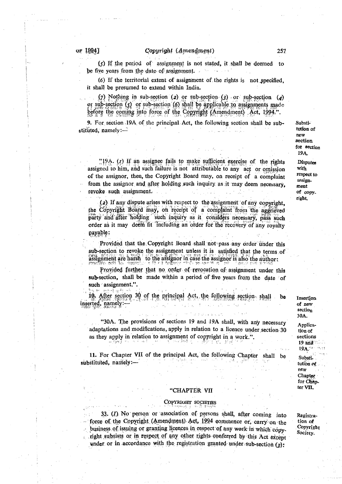OF 1994]

 $(s)$  If the period of assignment is not stated, it shall be deemed to be five years from the date of assignment.

(6) If the territorial extent of assignment of the rights is not specified. it shall be presumed to extend within India.

 $(7)$  Nothing in sub-section (2) or sub-section (3) or sub-section (4) or sub-section  $(s)$  or sub-section  $(s)$  shall be applicable to assignments made before the coming into force of the Copyright (Amendment) Act, 1994.".

9. For section 19A of the principal Act, the following section shall be substituted, namely: $-$ 

"19A.  $(t)$  If an assignee fails to make sufficient exercise of the rights assigned to him, and such failure is not attributable to any act or omission of the assignor, then, the Copyright Board may, on receipt of a complaint from the assignor and after holding such inquiry as it may deem necessary. revoke such assignment.

(2) If any dispute arises with respect to the assignment of any copyright, the Copyright Board may, on receipt of a complaint from the aggrieved party and after holding such inquiry as it considers necessary, pass such order as it may deem fit including an order for the recovery of any royalty payable:

Provided that the Copyright Board shall not pass any order under this sub-section to revoke the assignment unless it is satisfied that the terms of assignment are harsh to the assignor in case the assignor is also the author:

Provided further that no order of revocation of assignment under this sub-section, shall be made within a period of five years from the date of such assignment.".

istyni 10. After section 30 of the principal Act, the following section shall be inserted, namely:

"30A. The provisions of sections 19 and 19A shall, with any necessary adaptations and modifications, apply in relation to a licence under section 30 as they apply in relation to assignment of copyright in a work.".

11. For Chapter VII of the principal Act, the following Chapter shall be substituted, namely:-

section for section 19A. **Disputes** with respect to assign. ment of copy. right.

Substitution of

new

Insertion of new  $\text{section}_n$ 30A.

Applica-

tion of sections 19 and  $19A.$ Substi. tution of new Chapter for Chap-

#### "CHAPTER VII

#### COPYRIGHT SOCIETIES

33. (1) No person or association of persons shall, after coming into force of the Copyright (Amendment) Act, 1994 commence or, carry on the business of issuing or granting licences in respect of any work in which copyright subsists or in respect of any other rights conferred by this Act except under or in accordance with the registration granted under sub-section  $(2)$ :

Registration of Copyright Society.

ter VII.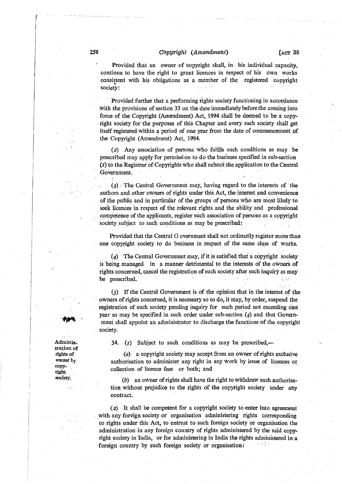Provided further that a performing rights society functioning in accordance with the provisions of section 33 on the date immediately before the coming into force of the Copyright (Amendment) Act, 1994 shall be deemed to be a copyright society for- the purposes of this. Chapter and every such society shall get itself registered within a period of one year from the date of commencement of the Copyright (Amendment) Act, 1994.

(2) Any association of persons who fulfils such conditions as may be prescribed may apply for permission to do the business specified in sub-section  $(r)$  to the Registrar of Copyrights who shall submit the application to the Central Government.

 $(3)$  The Central Government may, having regard to the interests of the authors and other owners of rights under this Act, the interest and convenience of the public and in particular of the groups of persons who are most likely to seek licences in respect of the relevant rights and the ability and professional competence of the applicants, register such association of persons as a copyright society subject to such conditions as may be prescribed:

Provided that the Central G overnment shall not ordinarily register more than one copyright society to do business in respect of the same class of works.

(4) The Central Government may, if it is satisfied that a copyright society is 'being managed in a manner detrimental to the interests of the owners of rights concerned, cancel the registration of such society after such inquiry as may be prescribed.

 $\mathcal{L}^{\mathcal{M}}$  . It is a probability that  $\mathcal{L}^{\mathcal{M}}_{\mathcal{M}}$ *(5)* If the Central Government is of the opinion that in the interest of the owners of rights concerned, it is necessary so to do, it may, by order, suspend the registration of such society pending inquiry for such period not exceeding one year as may be specified in such order under sub-section  $\left(4\right)$  and that Government shall appoint an administrator to discharge the functions of the copyright society.

Adminis. 34. (r) Subject to such conditions as may be prescribed,-

rights of (a) a copyright society may accept from an owner of rights exclusive where by authorisation to administer any right in any work by issue of licences or, right collection of licence fees or both; and

society.  $(b)$  an owner of rights shall have the right to withdraw such authorisation without prejudice to the rights of the copyright society under any contract.

> $(a)$  It shall be competent for a copyright society to enter into agreement with any foreign society or organisation administering rights corresponding to rights under this Act; to entrust to such foreign society or organisation the administration in any foreign country of rights administered by the said copyright society in India, or for administering in India the rights administered in a foreign country by such foreign society or organisation.

tration of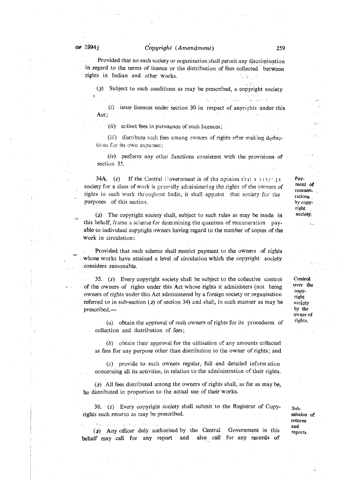$\mathbf 1$ 

Provided that no such society or organisation shall permit any discrimination in regard to the terms of licence or the distribution of fees collected between rights in Indian and other works.

(3) Subject to such conditions as may be prescribed, a copyright society

 $(i)$  issue licences under section 30 in respect of anyrights under this Act;

 $(ii)$  collect fees in pursuance of such licences;

*(iii)* distribute such fees among owners of rights after making deductions for its own expenses;

 $(iv)$  perform any other functions consistent with the provisions of section 35.

34A. (r) If the Central Covernment is of the opinion that  $x \rightarrow y \rightarrow f$ ;  $y = \text{Pay-}$ society for a class of work is generally administering the rights of the owners of remune-<br>rights in such work throughout India, it shall appoint that society for the rations, purposes of this section.

 $(2)$  The copyright society shall, subject to such rules as may be made in society. this behalf, frame a scheme for determining the quantum of remuneration payable to individual copyright owners having regard to the number of copies of the work in circulation:

Provided that such scheme shall restrict payment to the owners of rights whose works have attained a level of circulation which the copyright society ' considers reasonable.

35.  $(r)$  Every copyright society shall be subject to the collective. control  $\frac{C\text{ontrol}}{\text{C}^2}$  Control control  $\frac{C\text{ontrol}}{\text{C}^2}$ of the owners of rights under this Act whose rights it administers (not being  $\frac{\text{over}}{\text{copy}}$ <br>owners of rights under this Act administered by a foreign society or organisation owners or rights under this Act administered by a foreign society or organisation right<br>referred to in sub-section (2) of section 34) and shall, in such manner as may be  $\frac{\text{softmax}}{\text{log} \cdot \text{index}}$ prescribed,-

(a) obtain the approval of such owners of rights for its procedures of rights. collection and distribution of fees;

(b) obtain their approval for the utilisation of any amounts collected as fees for any purpose other than distribution to the owner of rights; and

(c) provide to such owners regular, full and detailed information concerning all its activities, in relation to the administration of their rights.

(2) All fees distributed among the owners of rights shall, as far as may be, be distributed in proportion to the actual use of their works.

36.  $(r)$  Every copyright society shall submit to the Registrar of Copy- Subrights such returns as may be prescribed. The mission of the mission of

returns and

Q\vnerof

(2) Any officer duly authorised by the Central Government in this reports. behalf may call for any report and also call for any records of

by copyright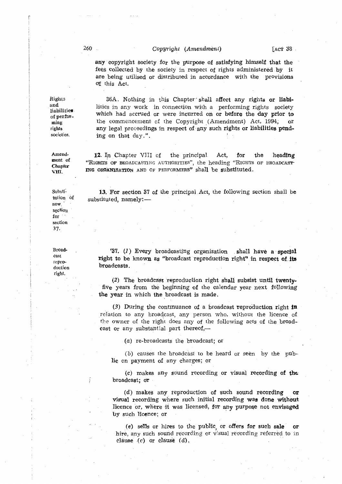### 260 Copyright (Amendment)

Таст 38.

any copyright society for the purpose of satisfying himself that the fees collected by the society in respect of rights administered by it are being utilised or distributed in accordance with the provisions OI this Act.

Rights 36A. Nothing in this Chapter shall affect any rights or liabi-<br>and  $\frac{1}{2}$  liting in any work in compation with a performing rights coolery and lities in any work in connection with a performing rights society is which had accrued or were incurred on or before the day prior to ming the commencement of the Copyright (Amendment) Act, 1994, or the commencement of the Copyright (Amendment) Act, 1994; rights any legal proceedings in respect of any such rights or liabilities pendsocieties. ing on that day.".

Amend 12. In Chapter VIII of the principal Act, for the heading ment of the recognize on  $\mathbb{R}^n$  and  $\mathbb{R}^n$  and  $\mathbb{R}^n$  and  $\mathbb{R}^n$  and  $\mathbb{R}^n$  and  $\mathbb{R}^n$  and  $\mathbb{R}^n$  and  $\mathbb{R}^n$  and  $\mathbb{R}^n$  an ment of "RIGHTS OF BROADCASTING AUTHORITIES", the heading "RIGHTS OF BROADCAST-Chapter ING ORGANISATION AND OF PERFORMERS" shall be substituted.

Substi-<br> $\begin{array}{ll}\n\text{Substituting } 13. \text{ For section } 37 \text{ of the principal Act, the following section shall be}\n\end{array}$ tution of *substituted*, namely: —

Broad- '37.  $(1)$  Every broadcasting organisation shall have a special cast cast reproduction shall have a same as "broadcast reproduction right" in respect of its duction **broadcasts**.

> (2) The broadcast reproduction right shall subsist until twentyfive years from the beginning of the calendar year next following the year in which the broadcast is made.

> (3) During the continuance of a broadcast reproduction right in relation to any broadcast, any person who, without the licence of the owner of the right does any of the following acts of the broadcast or any substantial part thereof,-

> > (a) re-broadcasts the broadcast; or

(h) causes the broadcast to be heard or seen by the public on payment of any charges; or

 $(c)$  makes any sound recording or visual recording of the broadcast; or

 $(d)$  makes any reproduction of such sound recording visual recording where such initial recording was done without licence or, where it was licensed, for any purpose not envisaged 'IJy such licence; or

(e) sells or hires to the public, or offers for such sale or hire, any such sound recording or visual recording referred to in clause  $(c)$  or clause  $(d)$ ,

of perfor-

section  $for$ section 37.

right.

Ť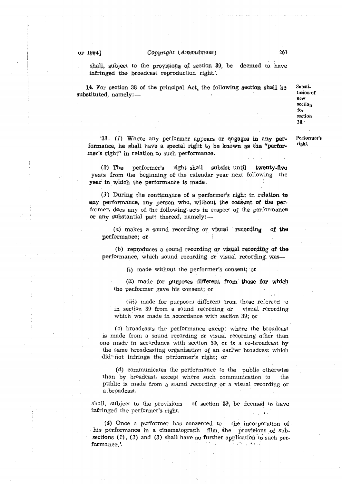14. For section 38 of the principal Act, the following section shall be Substituted corrections. substituted, namely: https://www.fathermore.com/substituted.com/substituted.com/substituted.com/substituted/new

section fur section 33.

'38.  $(l)$  Where any performer appears or engages in any per-<br>person ha shall have a gracial right t- ha known as the "partonformance, he shall have a special right  $t_0$  be known as the "performer's right'' in relation to such performance.

 $(2)$  The performer's right shall subsist until twenty-five years from the beginning of the calendar year next following the year in which the performance is made.

(3) During the continuance of a performer's right in relation to any performance, any person who, without the consent of the performer, does any of the following acts in respect of the performance or any substantial part thereof, namely:

(a) makes a sound recording or visual recording of the performance; or

(b) reproduces a sound recording or visual recording of the performance, which sound recording or visual recording was-

(i) made without the performer's consent; or

(ii) made for purposes different from those for which the performer gave his consent; or

(iii) made for purposes different 'from those referred to in section 39 from a sound recording or visual recording which was made in accordance with section 39; or

(c) broadcasts the performance except where the broadcast is made from a sound recording or visual recording other than one made in accordance with section 39, or is a re-broadcast by the same broadcasting organisation of an earlier broadcast which  $did$ <sup> $=$ </sup>not infringe the performer's right; or

 $(d)$  communicates the performance to the public otherwise than by broadcast, except where such communication to the public is made from a sound recording or a visual recording or a broadcast,

shall, subject to the provisions of section 39, be deemed to have infringed the performer's right.  $\overline{1}$ 

(4) Once a per'former has consented to the incorporation of his performance in a cinematograph film, the provisions of subsections  $(1)$ ,  $(2)$  and  $(3)$  shall have no further application to such performance.'.